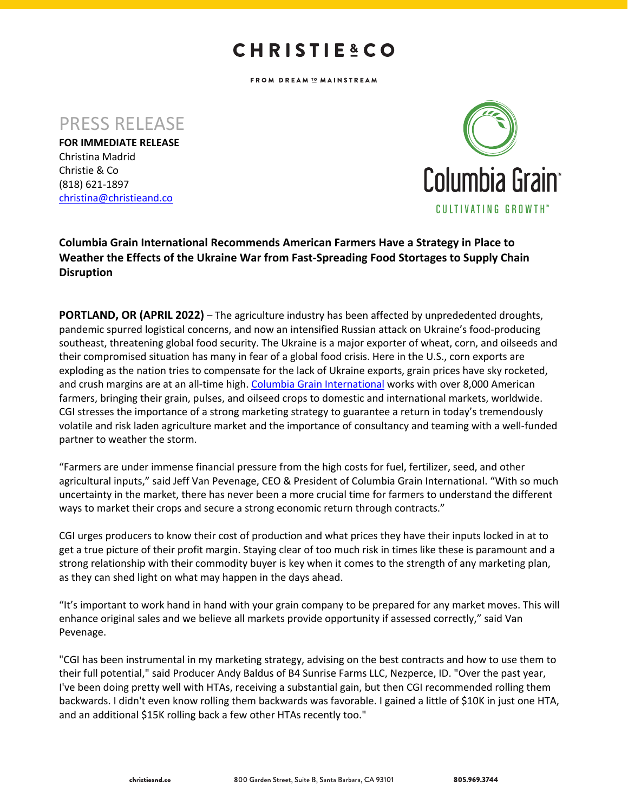## **CHRISTIE&CO**

FROM DREAM I MAINSTREAM

PRESS RELEASE

**FOR IMMEDIATE RELEASE** Christina Madrid Christie & Co (818) 621-1897 christina@christieand.co



**Columbia Grain International Recommends American Farmers Have a Strategy in Place to Weather the Effects of the Ukraine War from Fast-Spreading Food Stortages to Supply Chain Disruption**

**PORTLAND, OR (APRIL 2022)** – The agriculture industry has been affected by unprededented droughts, pandemic spurred logistical concerns, and now an intensified Russian attack on Ukraine's food-producing southeast, threatening global food security. The Ukraine is a major exporter of wheat, corn, and oilseeds and their compromised situation has many in fear of a global food crisis. Here in the U.S., corn exports are exploding as the nation tries to compensate for the lack of Ukraine exports, grain prices have sky rocketed, and crush margins are at an all-time high. Columbia Grain International works with over 8,000 American farmers, bringing their grain, pulses, and oilseed crops to domestic and international markets, worldwide. CGI stresses the importance of a strong marketing strategy to guarantee a return in today's tremendously volatile and risk laden agriculture market and the importance of consultancy and teaming with a well-funded partner to weather the storm.

"Farmers are under immense financial pressure from the high costs for fuel, fertilizer, seed, and other agricultural inputs," said Jeff Van Pevenage, CEO & President of Columbia Grain International. "With so much uncertainty in the market, there has never been a more crucial time for farmers to understand the different ways to market their crops and secure a strong economic return through contracts."

CGI urges producers to know their cost of production and what prices they have their inputs locked in at to get a true picture of their profit margin. Staying clear of too much risk in times like these is paramount and a strong relationship with their commodity buyer is key when it comes to the strength of any marketing plan, as they can shed light on what may happen in the days ahead.

"It's important to work hand in hand with your grain company to be prepared for any market moves. This will enhance original sales and we believe all markets provide opportunity if assessed correctly," said Van Pevenage.

"CGI has been instrumental in my marketing strategy, advising on the best contracts and how to use them to their full potential," said Producer Andy Baldus of B4 Sunrise Farms LLC, Nezperce, ID. "Over the past year, I've been doing pretty well with HTAs, receiving a substantial gain, but then CGI recommended rolling them backwards. I didn't even know rolling them backwards was favorable. I gained a little of \$10K in just one HTA, and an additional \$15K rolling back a few other HTAs recently too."